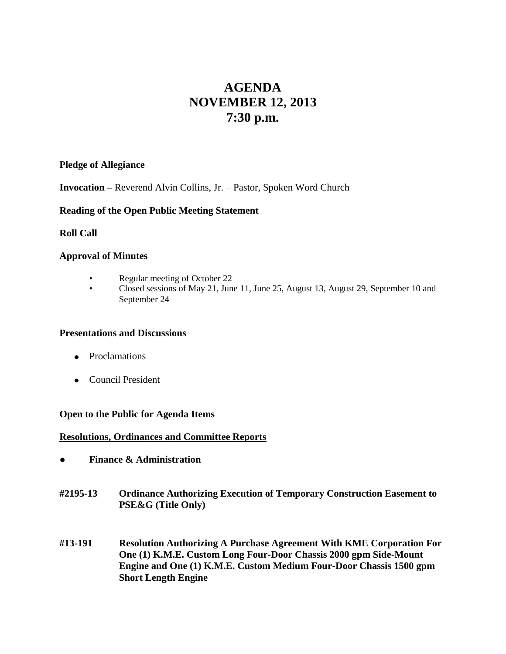# **AGENDA NOVEMBER 12, 2013 7:30 p.m.**

# **Pledge of Allegiance**

**Invocation –** Reverend Alvin Collins, Jr. – Pastor, Spoken Word Church

# **Reading of the Open Public Meeting Statement**

# **Roll Call**

#### **Approval of Minutes**

- Regular meeting of October 22
- Closed sessions of May 21, June 11, June 25, August 13, August 29, September 10 and September 24

#### **Presentations and Discussions**

- Proclamations
- Council President

#### **Open to the Public for Agenda Items**

#### **Resolutions, Ordinances and Committee Reports**

- **● Finance & Administration**
- **#2195-13 Ordinance Authorizing Execution of Temporary Construction Easement to PSE&G (Title Only)**
- **#13-191 Resolution Authorizing A Purchase Agreement With KME Corporation For One (1) K.M.E. Custom Long Four-Door Chassis 2000 gpm Side-Mount Engine and One (1) K.M.E. Custom Medium Four-Door Chassis 1500 gpm Short Length Engine**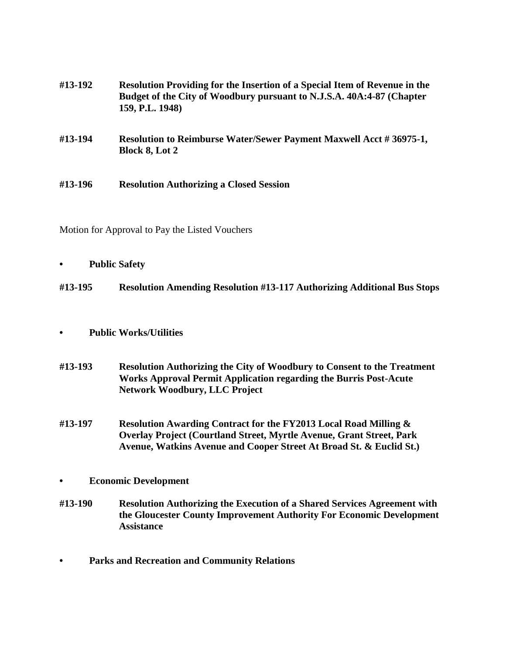| #13-192 | Resolution Providing for the Insertion of a Special Item of Revenue in the<br>Budget of the City of Woodbury pursuant to N.J.S.A. 40A:4-87 (Chapter<br>159, P.L. 1948) |
|---------|------------------------------------------------------------------------------------------------------------------------------------------------------------------------|
| #13-194 | <b>Resolution to Reimburse Water/Sewer Payment Maxwell Acct #36975-1,</b><br><b>Block 8, Lot 2</b>                                                                     |
| #13-196 | <b>Resolution Authorizing a Closed Session</b>                                                                                                                         |

Motion for Approval to Pay the Listed Vouchers

**• Public Safety**

**#13-195 Resolution Amending Resolution #13-117 Authorizing Additional Bus Stops**

- **• Public Works/Utilities**
- **#13-193 Resolution Authorizing the City of Woodbury to Consent to the Treatment Works Approval Permit Application regarding the Burris Post-Acute Network Woodbury, LLC Project**
- **#13-197 Resolution Awarding Contract for the FY2013 Local Road Milling & Overlay Project (Courtland Street, Myrtle Avenue, Grant Street, Park Avenue, Watkins Avenue and Cooper Street At Broad St. & Euclid St.)**

# **• Economic Development**

- **#13-190 Resolution Authorizing the Execution of a Shared Services Agreement with the Gloucester County Improvement Authority For Economic Development Assistance**
- **• Parks and Recreation and Community Relations**